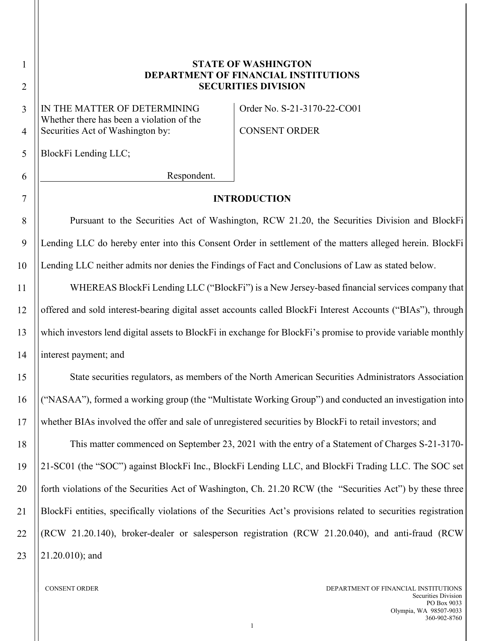# 7 8 9 10 11 12 13 14 15 16 17

## **STATE OF WASHINGTON DEPARTMENT OF FINANCIAL INSTITUTIONS SECURITIES DIVISION**

IN THE MATTER OF DETERMINING Whether there has been a violation of the Securities Act of Washington by:

Order No. S-21-3170-22-CO01

CONSENT ORDER

BlockFi Lending LLC;

Respondent.

### **INTRODUCTION**

Pursuant to the Securities Act of Washington, RCW 21.20, the Securities Division and BlockFi Lending LLC do hereby enter into this Consent Order in settlement of the matters alleged herein. BlockFi Lending LLC neither admits nor denies the Findings of Fact and Conclusions of Law as stated below.

WHEREAS BlockFi Lending LLC ("BlockFi") is a New Jersey-based financial services company that offered and sold interest-bearing digital asset accounts called BlockFi Interest Accounts ("BIAs"), through which investors lend digital assets to BlockFi in exchange for BlockFi's promise to provide variable monthly interest payment; and

State securities regulators, as members of the North American Securities Administrators Association ("NASAA"), formed a working group (the "Multistate Working Group") and conducted an investigation into whether BIAs involved the offer and sale of unregistered securities by BlockFi to retail investors; and

18 19 20 21 22 23 This matter commenced on September 23, 2021 with the entry of a Statement of Charges S-21-3170- 21-SC01 (the "SOC") against BlockFi Inc., BlockFi Lending LLC, and BlockFi Trading LLC. The SOC set forth violations of the Securities Act of Washington, Ch. 21.20 RCW (the "Securities Act") by these three BlockFi entities, specifically violations of the Securities Act's provisions related to securities registration (RCW 21.20.140), broker-dealer or salesperson registration (RCW 21.20.040), and anti-fraud (RCW 21.20.010); and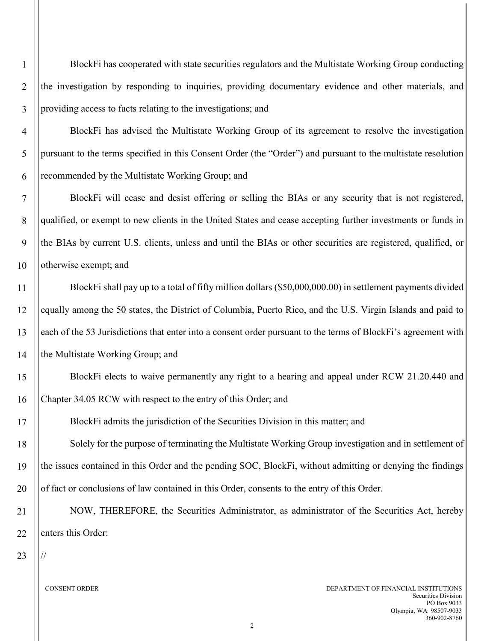BlockFi has cooperated with state securities regulators and the Multistate Working Group conducting the investigation by responding to inquiries, providing documentary evidence and other materials, and providing access to facts relating to the investigations; and

BlockFi has advised the Multistate Working Group of its agreement to resolve the investigation pursuant to the terms specified in this Consent Order (the "Order") and pursuant to the multistate resolution recommended by the Multistate Working Group; and

7 8 9 10 BlockFi will cease and desist offering or selling the BIAs or any security that is not registered, qualified, or exempt to new clients in the United States and cease accepting further investments or funds in the BIAs by current U.S. clients, unless and until the BIAs or other securities are registered, qualified, or otherwise exempt; and

11 12 13 14 BlockFi shall pay up to a total of fifty million dollars (\$50,000,000.00) in settlement payments divided equally among the 50 states, the District of Columbia, Puerto Rico, and the U.S. Virgin Islands and paid to each of the 53 Jurisdictions that enter into a consent order pursuant to the terms of BlockFi's agreement with the Multistate Working Group; and

BlockFi elects to waive permanently any right to a hearing and appeal under RCW 21.20.440 and Chapter 34.05 RCW with respect to the entry of this Order; and

BlockFi admits the jurisdiction of the Securities Division in this matter; and

Solely for the purpose of terminating the Multistate Working Group investigation and in settlement of the issues contained in this Order and the pending SOC, BlockFi, without admitting or denying the findings of fact or conclusions of law contained in this Order, consents to the entry of this Order.

NOW, THEREFORE, the Securities Administrator, as administrator of the Securities Act, hereby enters this Order:

23

//

15

16

17

18

19

20

21

22

1

 $\overline{2}$ 

3

4

5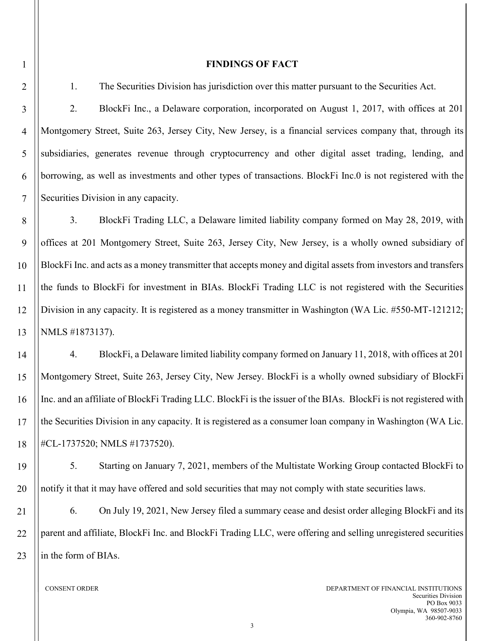#### **FINDINGS OF FACT**

1. The Securities Division has jurisdiction over this matter pursuant to the Securities Act.

2. BlockFi Inc., a Delaware corporation, incorporated on August 1, 2017, with offices at 201 Montgomery Street, Suite 263, Jersey City, New Jersey, is a financial services company that, through its subsidiaries, generates revenue through cryptocurrency and other digital asset trading, lending, and borrowing, as well as investments and other types of transactions. BlockFi Inc.0 is not registered with the Securities Division in any capacity.

8 9 10 11 12 13 3. BlockFi Trading LLC, a Delaware limited liability company formed on May 28, 2019, with offices at 201 Montgomery Street, Suite 263, Jersey City, New Jersey, is a wholly owned subsidiary of BlockFi Inc. and acts as a money transmitter that accepts money and digital assets from investors and transfers the funds to BlockFi for investment in BIAs. BlockFi Trading LLC is not registered with the Securities Division in any capacity. It is registered as a money transmitter in Washington (WA Lic. #550-MT-121212; NMLS #1873137).

14 15 16 17 18 4. BlockFi, a Delaware limited liability company formed on January 11, 2018, with offices at 201 Montgomery Street, Suite 263, Jersey City, New Jersey. BlockFi is a wholly owned subsidiary of BlockFi Inc. and an affiliate of BlockFi Trading LLC. BlockFi is the issuer of the BIAs. BlockFi is not registered with the Securities Division in any capacity. It is registered as a consumer loan company in Washington (WA Lic. #CL-1737520; NMLS #1737520).

5. Starting on January 7, 2021, members of the Multistate Working Group contacted BlockFi to notify it that it may have offered and sold securities that may not comply with state securities laws.

21 22 23 6. On July 19, 2021, New Jersey filed a summary cease and desist order alleging BlockFi and its parent and affiliate, BlockFi Inc. and BlockFi Trading LLC, were offering and selling unregistered securities in the form of BIAs.

1

2

3

4

5

6

7

19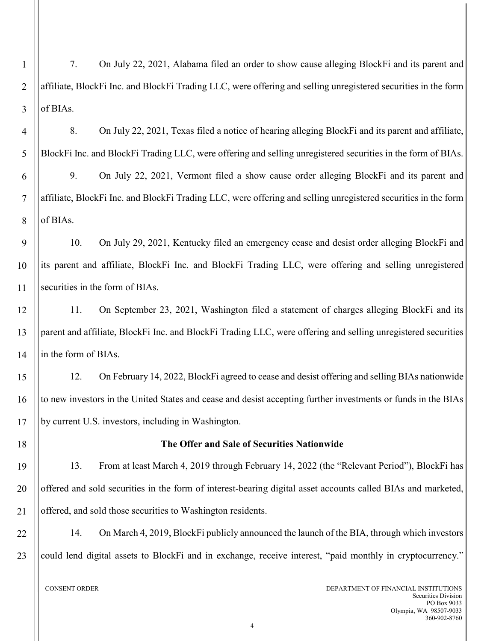1  $\overline{2}$ 3 4 5 6 7 8 9 10 11 12 13 7. On July 22, 2021, Alabama filed an order to show cause alleging BlockFi and its parent and affiliate, BlockFi Inc. and BlockFi Trading LLC, were offering and selling unregistered securities in the form of BIAs. 8. On July 22, 2021, Texas filed a notice of hearing alleging BlockFi and its parent and affiliate, BlockFi Inc. and BlockFi Trading LLC, were offering and selling unregistered securities in the form of BIAs. 9. On July 22, 2021, Vermont filed a show cause order alleging BlockFi and its parent and affiliate, BlockFi Inc. and BlockFi Trading LLC, were offering and selling unregistered securities in the form of BIAs. 10. On July 29, 2021, Kentucky filed an emergency cease and desist order alleging BlockFi and its parent and affiliate, BlockFi Inc. and BlockFi Trading LLC, were offering and selling unregistered securities in the form of BIAs. 11. On September 23, 2021, Washington filed a statement of charges alleging BlockFi and its parent and affiliate, BlockFi Inc. and BlockFi Trading LLC, were offering and selling unregistered securities

14 in the form of BIAs.

18

19

20

21

15 16 17 12. On February 14, 2022, BlockFi agreed to cease and desist offering and selling BIAs nationwide to new investors in the United States and cease and desist accepting further investments or funds in the BIAs by current U.S. investors, including in Washington.

## **The Offer and Sale of Securities Nationwide**

13. From at least March 4, 2019 through February 14, 2022 (the "Relevant Period"), BlockFi has offered and sold securities in the form of interest-bearing digital asset accounts called BIAs and marketed, offered, and sold those securities to Washington residents.

22 23 14. On March 4, 2019, BlockFi publicly announced the launch of the BIA, through which investors could lend digital assets to BlockFi and in exchange, receive interest, "paid monthly in cryptocurrency."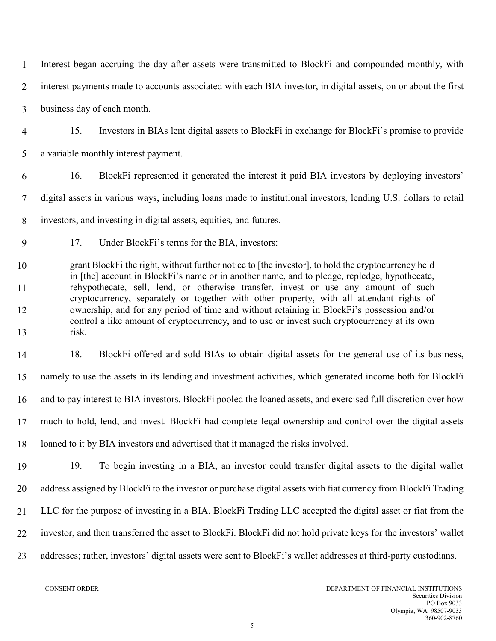1  $\overline{2}$ 3 Interest began accruing the day after assets were transmitted to BlockFi and compounded monthly, with interest payments made to accounts associated with each BIA investor, in digital assets, on or about the first business day of each month.

- 4 5 15. Investors in BIAs lent digital assets to BlockFi in exchange for BlockFi's promise to provide a variable monthly interest payment.
- 6 7 8 16. BlockFi represented it generated the interest it paid BIA investors by deploying investors' digital assets in various ways, including loans made to institutional investors, lending U.S. dollars to retail investors, and investing in digital assets, equities, and futures.
	- 17. Under BlockFi's terms for the BIA, investors:

grant BlockFi the right, without further notice to [the investor], to hold the cryptocurrency held in [the] account in BlockFi's name or in another name, and to pledge, repledge, hypothecate, rehypothecate, sell, lend, or otherwise transfer, invest or use any amount of such cryptocurrency, separately or together with other property, with all attendant rights of ownership, and for any period of time and without retaining in BlockFi's possession and/or control a like amount of cryptocurrency, and to use or invest such cryptocurrency at its own risk.

14 15 16 17 18 18. BlockFi offered and sold BIAs to obtain digital assets for the general use of its business, namely to use the assets in its lending and investment activities, which generated income both for BlockFi and to pay interest to BIA investors. BlockFi pooled the loaned assets, and exercised full discretion over how much to hold, lend, and invest. BlockFi had complete legal ownership and control over the digital assets loaned to it by BIA investors and advertised that it managed the risks involved.

19 20 21 22 23 19. To begin investing in a BIA, an investor could transfer digital assets to the digital wallet address assigned by BlockFi to the investor or purchase digital assets with fiat currency from BlockFi Trading LLC for the purpose of investing in a BIA. BlockFi Trading LLC accepted the digital asset or fiat from the investor, and then transferred the asset to BlockFi. BlockFi did not hold private keys for the investors' wallet addresses; rather, investors' digital assets were sent to BlockFi's wallet addresses at third-party custodians.

9

10

11

12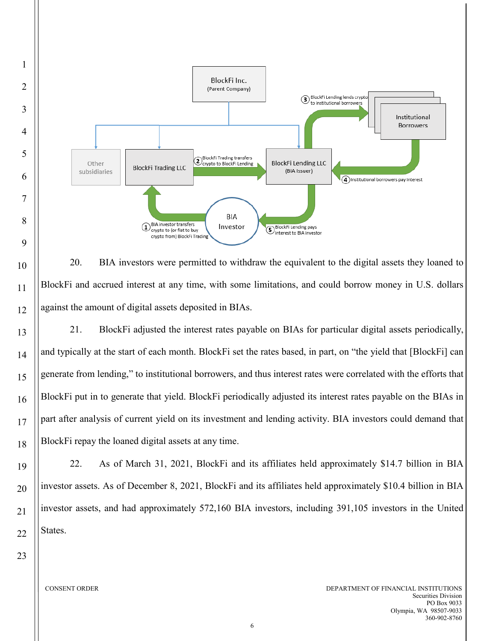

10 11 12 13 14 15 20. BIA investors were permitted to withdraw the equivalent to the digital assets they loaned to BlockFi and accrued interest at any time, with some limitations, and could borrow money in U.S. dollars against the amount of digital assets deposited in BIAs. 21. BlockFi adjusted the interest rates payable on BIAs for particular digital assets periodically,

and typically at the start of each month. BlockFi set the rates based, in part, on "the yield that [BlockFi] can generate from lending," to institutional borrowers, and thus interest rates were correlated with the efforts that BlockFi put in to generate that yield. BlockFi periodically adjusted its interest rates payable on the BIAs in part after analysis of current yield on its investment and lending activity. BIA investors could demand that BlockFi repay the loaned digital assets at any time.

22. As of March 31, 2021, BlockFi and its affiliates held approximately \$14.7 billion in BIA investor assets. As of December 8, 2021, BlockFi and its affiliates held approximately \$10.4 billion in BIA investor assets, and had approximately 572,160 BIA investors, including 391,105 investors in the United States.

23

16

17

18

19

20

21

22

1

2

3

4

5

6

7

8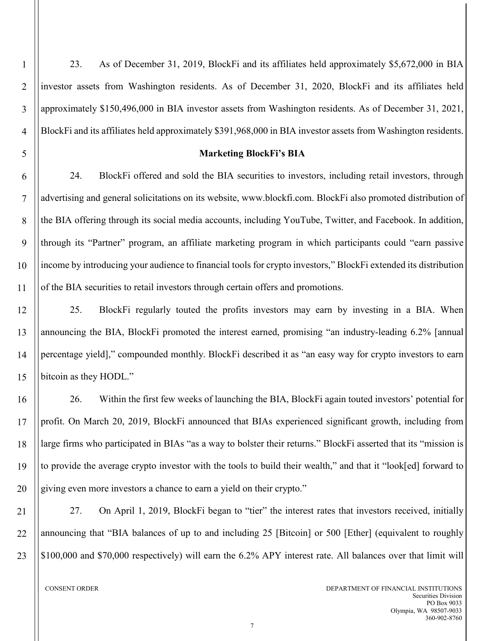23. As of December 31, 2019, BlockFi and its affiliates held approximately \$5,672,000 in BIA investor assets from Washington residents. As of December 31, 2020, BlockFi and its affiliates held approximately \$150,496,000 in BIA investor assets from Washington residents. As of December 31, 2021, BlockFi and its affiliates held approximately \$391,968,000 in BIA investor assets from Washington residents.

#### **Marketing BlockFi's BIA**

6 7 8 9 10 11 24. BlockFi offered and sold the BIA securities to investors, including retail investors, through advertising and general solicitations on its website, www.blockfi.com. BlockFi also promoted distribution of the BIA offering through its social media accounts, including YouTube, Twitter, and Facebook. In addition, through its "Partner" program, an affiliate marketing program in which participants could "earn passive income by introducing your audience to financial tools for crypto investors," BlockFi extended its distribution of the BIA securities to retail investors through certain offers and promotions.

12 13 14 15 25. BlockFi regularly touted the profits investors may earn by investing in a BIA. When announcing the BIA, BlockFi promoted the interest earned, promising "an industry-leading 6.2% [annual percentage yield]," compounded monthly. BlockFi described it as "an easy way for crypto investors to earn bitcoin as they HODL."

16 17 18 19 20 26. Within the first few weeks of launching the BIA, BlockFi again touted investors' potential for profit. On March 20, 2019, BlockFi announced that BIAs experienced significant growth, including from large firms who participated in BIAs "as a way to bolster their returns." BlockFi asserted that its "mission is to provide the average crypto investor with the tools to build their wealth," and that it "look[ed] forward to giving even more investors a chance to earn a yield on their crypto."

21 22 23 27. On April 1, 2019, BlockFi began to "tier" the interest rates that investors received, initially announcing that "BIA balances of up to and including 25 [Bitcoin] or 500 [Ether] (equivalent to roughly \$100,000 and \$70,000 respectively) will earn the 6.2% APY interest rate. All balances over that limit will

1

 $\overline{2}$ 

3

4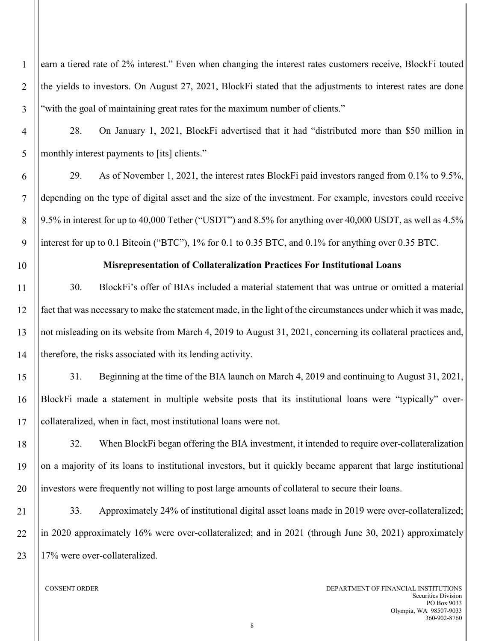$\overline{2}$ 3 earn a tiered rate of 2% interest." Even when changing the interest rates customers receive, BlockFi touted the yields to investors. On August 27, 2021, BlockFi stated that the adjustments to interest rates are done "with the goal of maintaining great rates for the maximum number of clients."

28. On January 1, 2021, BlockFi advertised that it had "distributed more than \$50 million in monthly interest payments to [its] clients."

29. As of November 1, 2021, the interest rates BlockFi paid investors ranged from 0.1% to 9.5%, depending on the type of digital asset and the size of the investment. For example, investors could receive 9.5% in interest for up to 40,000 Tether ("USDT") and 8.5% for anything over 40,000 USDT, as well as 4.5% interest for up to 0.1 Bitcoin ("BTC"), 1% for 0.1 to 0.35 BTC, and 0.1% for anything over 0.35 BTC.

1

4

5

6

7

8

9

10

## **Misrepresentation of Collateralization Practices For Institutional Loans**

11 12 13 14 30. BlockFi's offer of BIAs included a material statement that was untrue or omitted a material fact that was necessary to make the statement made, in the light of the circumstances under which it was made, not misleading on its website from March 4, 2019 to August 31, 2021, concerning its collateral practices and, therefore, the risks associated with its lending activity.

15 16 17 31. Beginning at the time of the BIA launch on March 4, 2019 and continuing to August 31, 2021, BlockFi made a statement in multiple website posts that its institutional loans were "typically" overcollateralized, when in fact, most institutional loans were not.

18 19 20 32. When BlockFi began offering the BIA investment, it intended to require over-collateralization on a majority of its loans to institutional investors, but it quickly became apparent that large institutional investors were frequently not willing to post large amounts of collateral to secure their loans.

21 22 23 33. Approximately 24% of institutional digital asset loans made in 2019 were over-collateralized; in 2020 approximately 16% were over-collateralized; and in 2021 (through June 30, 2021) approximately 17% were over-collateralized.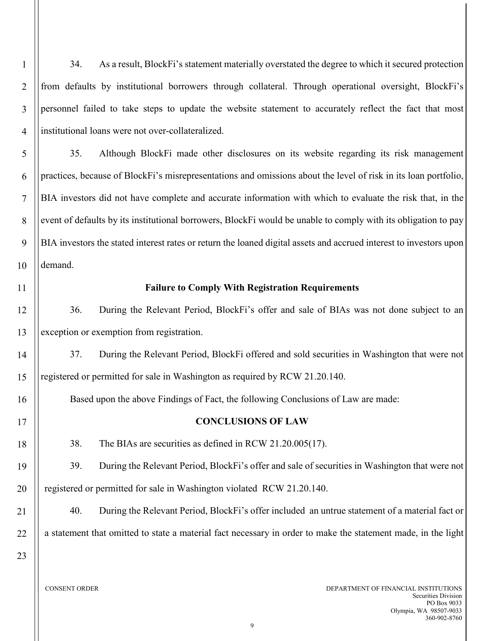34. As a result, BlockFi's statement materially overstated the degree to which it secured protection from defaults by institutional borrowers through collateral. Through operational oversight, BlockFi's personnel failed to take steps to update the website statement to accurately reflect the fact that most institutional loans were not over-collateralized.

5 6 7 8 9 10 35. Although BlockFi made other disclosures on its website regarding its risk management practices, because of BlockFi's misrepresentations and omissions about the level of risk in its loan portfolio, BIA investors did not have complete and accurate information with which to evaluate the risk that, in the event of defaults by its institutional borrowers, BlockFi would be unable to comply with its obligation to pay BIA investors the stated interest rates or return the loaned digital assets and accrued interest to investors upon demand.

11

12

13

14

15

16

17

18

19

20

21

1

 $\overline{2}$ 

3

4

#### **Failure to Comply With Registration Requirements**

36. During the Relevant Period, BlockFi's offer and sale of BIAs was not done subject to an exception or exemption from registration.

37. During the Relevant Period, BlockFi offered and sold securities in Washington that were not registered or permitted for sale in Washington as required by RCW 21.20.140.

Based upon the above Findings of Fact, the following Conclusions of Law are made:

#### **CONCLUSIONS OF LAW**

38. The BIAs are securities as defined in RCW 21.20.005(17).

39. During the Relevant Period, BlockFi's offer and sale of securities in Washington that were not registered or permitted for sale in Washington violated RCW 21.20.140.

40. During the Relevant Period, BlockFi's offer included an untrue statement of a material fact or a statement that omitted to state a material fact necessary in order to make the statement made, in the light

23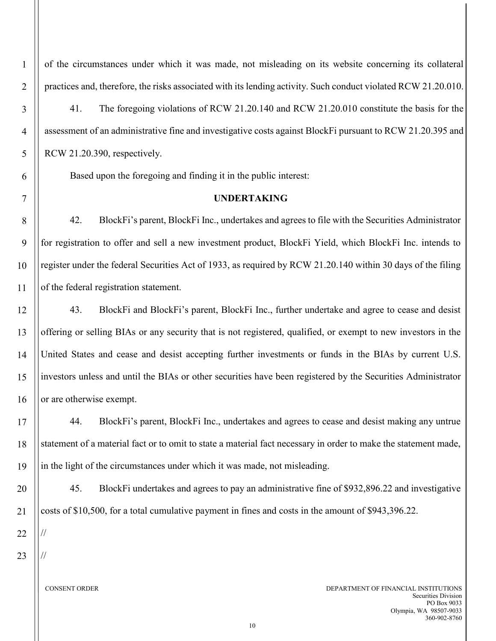1

2

3

of the circumstances under which it was made, not misleading on its website concerning its collateral practices and, therefore, the risks associated with its lending activity. Such conduct violated RCW 21.20.010.

41. The foregoing violations of RCW 21.20.140 and RCW 21.20.010 constitute the basis for the assessment of an administrative fine and investigative costs against BlockFi pursuant to RCW 21.20.395 and RCW 21.20.390, respectively.

Based upon the foregoing and finding it in the public interest:

## **UNDERTAKING**

42. BlockFi's parent, BlockFi Inc., undertakes and agrees to file with the Securities Administrator for registration to offer and sell a new investment product, BlockFi Yield, which BlockFi Inc. intends to register under the federal Securities Act of 1933, as required by RCW 21.20.140 within 30 days of the filing of the federal registration statement.

43. BlockFi and BlockFi's parent, BlockFi Inc., further undertake and agree to cease and desist offering or selling BIAs or any security that is not registered, qualified, or exempt to new investors in the United States and cease and desist accepting further investments or funds in the BIAs by current U.S. investors unless and until the BIAs or other securities have been registered by the Securities Administrator or are otherwise exempt.

44. BlockFi's parent, BlockFi Inc., undertakes and agrees to cease and desist making any untrue statement of a material fact or to omit to state a material fact necessary in order to make the statement made, in the light of the circumstances under which it was made, not misleading.

45. BlockFi undertakes and agrees to pay an administrative fine of \$932,896.22 and investigative costs of \$10,500, for a total cumulative payment in fines and costs in the amount of \$943,396.22.

23

//

//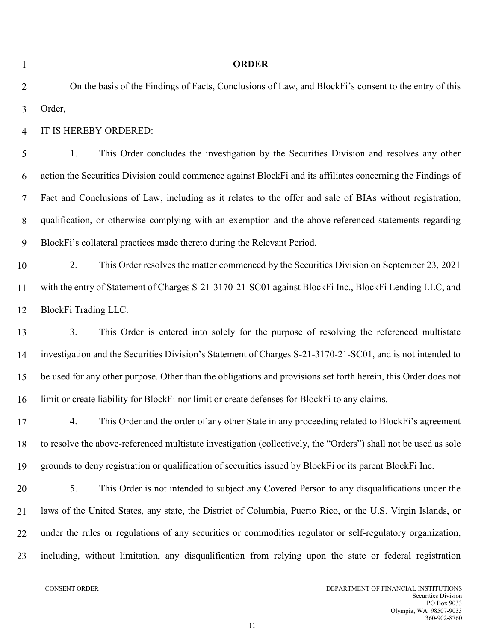#### **ORDER**

On the basis of the Findings of Facts, Conclusions of Law, and BlockFi's consent to the entry of this Order,

IT IS HEREBY ORDERED:

1. This Order concludes the investigation by the Securities Division and resolves any other action the Securities Division could commence against BlockFi and its affiliates concerning the Findings of Fact and Conclusions of Law, including as it relates to the offer and sale of BIAs without registration, qualification, or otherwise complying with an exemption and the above-referenced statements regarding BlockFi's collateral practices made thereto during the Relevant Period.

2. This Order resolves the matter commenced by the Securities Division on September 23, 2021 with the entry of Statement of Charges S-21-3170-21-SC01 against BlockFi Inc., BlockFi Lending LLC, and BlockFi Trading LLC.

3. This Order is entered into solely for the purpose of resolving the referenced multistate investigation and the Securities Division's Statement of Charges S-21-3170-21-SC01, and is not intended to be used for any other purpose. Other than the obligations and provisions set forth herein, this Order does not limit or create liability for BlockFi nor limit or create defenses for BlockFi to any claims.

4. This Order and the order of any other State in any proceeding related to BlockFi's agreement to resolve the above-referenced multistate investigation (collectively, the "Orders") shall not be used as sole grounds to deny registration or qualification of securities issued by BlockFi or its parent BlockFi Inc.

5. This Order is not intended to subject any Covered Person to any disqualifications under the laws of the United States, any state, the District of Columbia, Puerto Rico, or the U.S. Virgin Islands, or under the rules or regulations of any securities or commodities regulator or self-regulatory organization, including, without limitation, any disqualification from relying upon the state or federal registration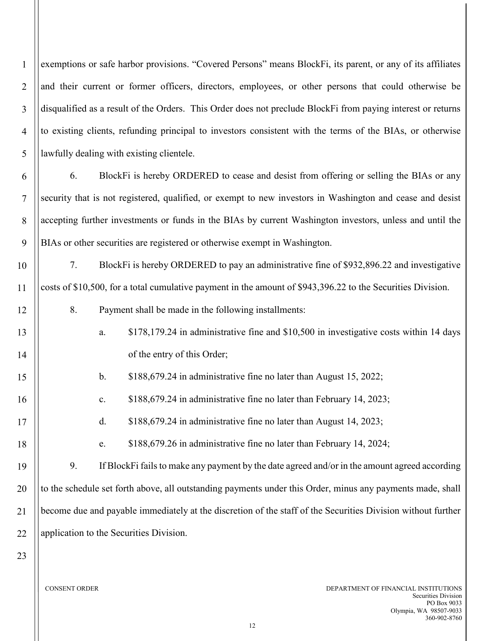1  $\overline{2}$ 3 4 5 exemptions or safe harbor provisions. "Covered Persons" means BlockFi, its parent, or any of its affiliates and their current or former officers, directors, employees, or other persons that could otherwise be disqualified as a result of the Orders. This Order does not preclude BlockFi from paying interest or returns to existing clients, refunding principal to investors consistent with the terms of the BIAs, or otherwise lawfully dealing with existing clientele.

6 7 8 9 6. BlockFi is hereby ORDERED to cease and desist from offering or selling the BIAs or any security that is not registered, qualified, or exempt to new investors in Washington and cease and desist accepting further investments or funds in the BIAs by current Washington investors, unless and until the BIAs or other securities are registered or otherwise exempt in Washington.

10 11 7. BlockFi is hereby ORDERED to pay an administrative fine of \$932,896.22 and investigative costs of \$10,500, for a total cumulative payment in the amount of \$943,396.22 to the Securities Division.

8. Payment shall be made in the following installments:

a. \$178,179.24 in administrative fine and \$10,500 in investigative costs within 14 days of the entry of this Order;

b. \$188,679.24 in administrative fine no later than August 15, 2022;

c. \$188,679.24 in administrative fine no later than February 14, 2023;

d. \$188,679.24 in administrative fine no later than August 14, 2023;

e. \$188,679.26 in administrative fine no later than February 14, 2024;

19 20 21 22 9. If BlockFi fails to make any payment by the date agreed and/or in the amount agreed according to the schedule set forth above, all outstanding payments under this Order, minus any payments made, shall become due and payable immediately at the discretion of the staff of the Securities Division without further application to the Securities Division.

23

12

13

14

15

16

17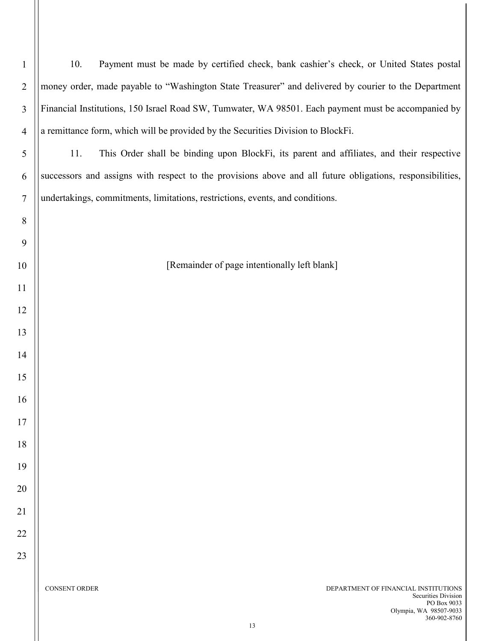| $\mathbf{1}$   | Payment must be made by certified check, bank cashier's check, or United States postal<br>10.                                                      |
|----------------|----------------------------------------------------------------------------------------------------------------------------------------------------|
| $\overline{2}$ | money order, made payable to "Washington State Treasurer" and delivered by courier to the Department                                               |
| $\overline{3}$ | Financial Institutions, 150 Israel Road SW, Tumwater, WA 98501. Each payment must be accompanied by                                                |
| $\overline{4}$ | a remittance form, which will be provided by the Securities Division to BlockFi.                                                                   |
| 5              | This Order shall be binding upon BlockFi, its parent and affiliates, and their respective<br>11.                                                   |
| 6              | successors and assigns with respect to the provisions above and all future obligations, responsibilities,                                          |
| $\tau$         | undertakings, commitments, limitations, restrictions, events, and conditions.                                                                      |
| 8              |                                                                                                                                                    |
| 9              |                                                                                                                                                    |
| 10             | [Remainder of page intentionally left blank]                                                                                                       |
| 11             |                                                                                                                                                    |
| 12             |                                                                                                                                                    |
| 13             |                                                                                                                                                    |
| 14             |                                                                                                                                                    |
| 15             |                                                                                                                                                    |
| 16             |                                                                                                                                                    |
| 17             |                                                                                                                                                    |
| 18             |                                                                                                                                                    |
| 19             |                                                                                                                                                    |
| 20             |                                                                                                                                                    |
| 21             |                                                                                                                                                    |
| 22             |                                                                                                                                                    |
| 23             |                                                                                                                                                    |
|                | <b>CONSENT ORDER</b><br>DEPARTMENT OF FINANCIAL INSTITUTIONS<br>Securities Division<br>PO Box 9033<br>Olympia, WA 98507-9033<br>360-902-8760<br>13 |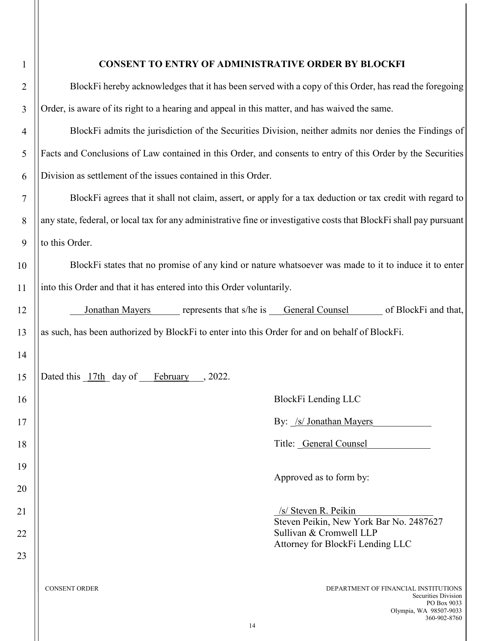| $\mathbf{1}$   | <b>CONSENT TO ENTRY OF ADMINISTRATIVE ORDER BY BLOCKFI</b>                                                                                         |
|----------------|----------------------------------------------------------------------------------------------------------------------------------------------------|
| $\overline{2}$ | BlockFi hereby acknowledges that it has been served with a copy of this Order, has read the foregoing                                              |
| 3              | Order, is aware of its right to a hearing and appeal in this matter, and has waived the same.                                                      |
| $\overline{4}$ | BlockFi admits the jurisdiction of the Securities Division, neither admits nor denies the Findings of                                              |
| 5              | Facts and Conclusions of Law contained in this Order, and consents to entry of this Order by the Securities                                        |
| 6              | Division as settlement of the issues contained in this Order.                                                                                      |
| 7              | BlockFi agrees that it shall not claim, assert, or apply for a tax deduction or tax credit with regard to                                          |
| 8              | any state, federal, or local tax for any administrative fine or investigative costs that BlockFi shall pay pursuant                                |
| 9              | to this Order.                                                                                                                                     |
| 10             | BlockFi states that no promise of any kind or nature whatsoever was made to it to induce it to enter                                               |
| 11             | into this Order and that it has entered into this Order voluntarily.                                                                               |
| 12             | of BlockFi and that,<br>Jonathan Mayers<br>represents that s/he is General Counsel                                                                 |
| 13             | as such, has been authorized by BlockFi to enter into this Order for and on behalf of BlockFi.                                                     |
| 14             |                                                                                                                                                    |
| 15             | Dated this 17th day of February, 2022.                                                                                                             |
| 16             | BlockFi Lending LLC                                                                                                                                |
| 17             | By: /s/ Jonathan Mayers                                                                                                                            |
| 18             | Title: General Counsel                                                                                                                             |
| 19             | Approved as to form by:                                                                                                                            |
| 20             |                                                                                                                                                    |
| 21             | /s/ Steven R. Peikin<br>Steven Peikin, New York Bar No. 2487627                                                                                    |
| 22             | Sullivan & Cromwell LLP<br>Attorney for BlockFi Lending LLC                                                                                        |
| 23             |                                                                                                                                                    |
|                | <b>CONSENT ORDER</b><br>DEPARTMENT OF FINANCIAL INSTITUTIONS<br>Securities Division<br>PO Box 9033<br>Olympia, WA 98507-9033<br>360-902-8760<br>14 |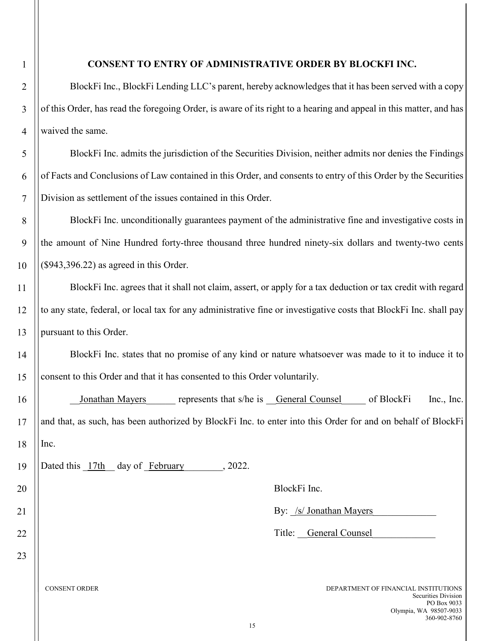## **CONSENT TO ENTRY OF ADMINISTRATIVE ORDER BY BLOCKFI INC.**

BlockFi Inc., BlockFi Lending LLC's parent, hereby acknowledges that it has been served with a copy of this Order, has read the foregoing Order, is aware of its right to a hearing and appeal in this matter, and has waived the same.

BlockFi Inc. admits the jurisdiction of the Securities Division, neither admits nor denies the Findings of Facts and Conclusions of Law contained in this Order, and consents to entry of this Order by the Securities Division as settlement of the issues contained in this Order.

BlockFi Inc. unconditionally guarantees payment of the administrative fine and investigative costs in the amount of Nine Hundred forty-three thousand three hundred ninety-six dollars and twenty-two cents (\$943,396.22) as agreed in this Order.

BlockFi Inc. agrees that it shall not claim, assert, or apply for a tax deduction or tax credit with regard to any state, federal, or local tax for any administrative fine or investigative costs that BlockFi Inc. shall pay pursuant to this Order.

BlockFi Inc. states that no promise of any kind or nature whatsoever was made to it to induce it to consent to this Order and that it has consented to this Order voluntarily.

Jonathan Mayers represents that s/he is General Counsel of BlockFi Inc., Inc. and that, as such, has been authorized by BlockFi Inc. to enter into this Order for and on behalf of BlockFi Inc.

Dated this  $\frac{17th}{17}$  day of February , 2022.

BlockFi Inc.

By: /s/ Jonathan Mayers

Title: General Counsel